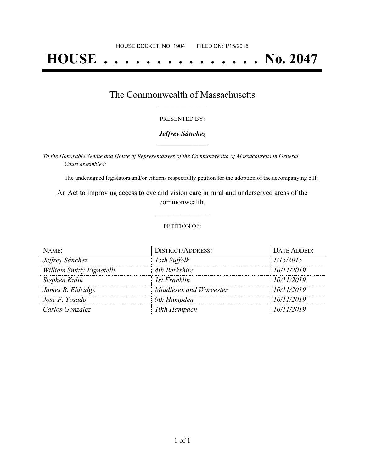# **HOUSE . . . . . . . . . . . . . . . No. 2047**

## The Commonwealth of Massachusetts **\_\_\_\_\_\_\_\_\_\_\_\_\_\_\_\_\_**

#### PRESENTED BY:

#### *Jeffrey Sánchez* **\_\_\_\_\_\_\_\_\_\_\_\_\_\_\_\_\_**

*To the Honorable Senate and House of Representatives of the Commonwealth of Massachusetts in General Court assembled:*

The undersigned legislators and/or citizens respectfully petition for the adoption of the accompanying bill:

An Act to improving access to eye and vision care in rural and underserved areas of the commonwealth.

**\_\_\_\_\_\_\_\_\_\_\_\_\_\_\_**

#### PETITION OF:

| NAME:                     | <b>DISTRICT/ADDRESS:</b> | DATE ADDED: |
|---------------------------|--------------------------|-------------|
| Jeffrey Sánchez           | 15th Suffolk             | 1/15/2015   |
| William Smitty Pignatelli | 4th Berkshire            | 10/11/2019  |
| Stephen Kulik             | 1st Franklin             | 10/11/2019  |
| James B. Eldridge         | Middlesex and Worcester  | 10/11/2019  |
| Jose F. Tosado            | 9th Hampden              | 10/11/2019  |
| Carlos Gonzalez           | 10th Hampden             | 10/11/2019  |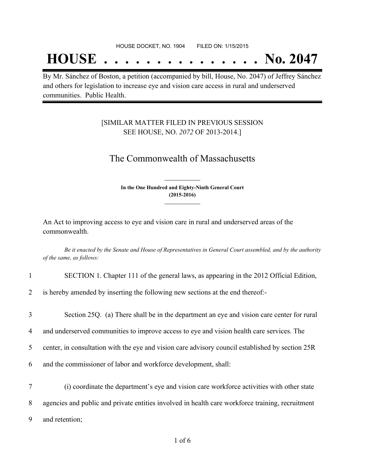## **HOUSE . . . . . . . . . . . . . . . No. 2047**

By Mr. Sánchez of Boston, a petition (accompanied by bill, House, No. 2047) of Jeffrey Sánchez and others for legislation to increase eye and vision care access in rural and underserved communities. Public Health.

### [SIMILAR MATTER FILED IN PREVIOUS SESSION SEE HOUSE, NO. *2072* OF 2013-2014.]

## The Commonwealth of Massachusetts

**In the One Hundred and Eighty-Ninth General Court (2015-2016) \_\_\_\_\_\_\_\_\_\_\_\_\_\_\_**

**\_\_\_\_\_\_\_\_\_\_\_\_\_\_\_**

An Act to improving access to eye and vision care in rural and underserved areas of the commonwealth.

Be it enacted by the Senate and House of Representatives in General Court assembled, and by the authority *of the same, as follows:*

| $\mathbf{1}$             | SECTION 1. Chapter 111 of the general laws, as appearing in the 2012 Official Edition,           |
|--------------------------|--------------------------------------------------------------------------------------------------|
| $\overline{2}$           | is hereby amended by inserting the following new sections at the end thereof:-                   |
| 3                        | Section 25Q. (a) There shall be in the department an eye and vision care center for rural        |
| $\overline{\mathcal{A}}$ | and underserved communities to improve access to eye and vision health care services. The        |
| 5 <sup>1</sup>           | center, in consultation with the eye and vision care advisory council established by section 25R |
| 6                        | and the commissioner of labor and workforce development, shall:                                  |
| $\tau$                   | (i) coordinate the department's eye and vision care workforce activities with other state        |
| 8                        | agencies and public and private entities involved in health care workforce training, recruitment |

9 and retention;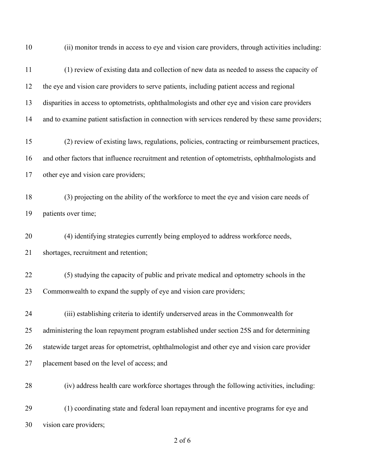(ii) monitor trends in access to eye and vision care providers, through activities including: (1) review of existing data and collection of new data as needed to assess the capacity of the eye and vision care providers to serve patients, including patient access and regional disparities in access to optometrists, ophthalmologists and other eye and vision care providers 14 and to examine patient satisfaction in connection with services rendered by these same providers; (2) review of existing laws, regulations, policies, contracting or reimbursement practices, and other factors that influence recruitment and retention of optometrists, ophthalmologists and other eye and vision care providers; (3) projecting on the ability of the workforce to meet the eye and vision care needs of patients over time; (4) identifying strategies currently being employed to address workforce needs, shortages, recruitment and retention; (5) studying the capacity of public and private medical and optometry schools in the Commonwealth to expand the supply of eye and vision care providers; (iii) establishing criteria to identify underserved areas in the Commonwealth for administering the loan repayment program established under section 25S and for determining statewide target areas for optometrist, ophthalmologist and other eye and vision care provider placement based on the level of access; and (iv) address health care workforce shortages through the following activities, including: (1) coordinating state and federal loan repayment and incentive programs for eye and vision care providers;

of 6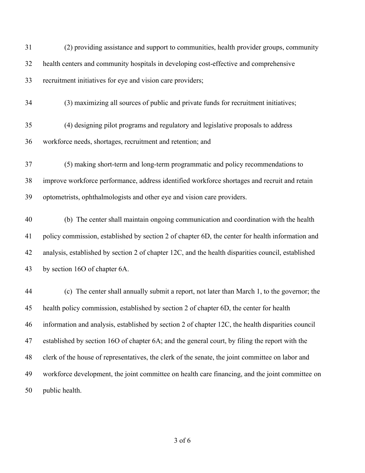| 31 | (2) providing assistance and support to communities, health provider groups, community             |
|----|----------------------------------------------------------------------------------------------------|
| 32 | health centers and community hospitals in developing cost-effective and comprehensive              |
| 33 | recruitment initiatives for eye and vision care providers;                                         |
| 34 | (3) maximizing all sources of public and private funds for recruitment initiatives;                |
| 35 | (4) designing pilot programs and regulatory and legislative proposals to address                   |
| 36 | workforce needs, shortages, recruitment and retention; and                                         |
| 37 | (5) making short-term and long-term programmatic and policy recommendations to                     |
| 38 | improve workforce performance, address identified workforce shortages and recruit and retain       |
| 39 | optometrists, ophthalmologists and other eye and vision care providers.                            |
| 40 | (b) The center shall maintain ongoing communication and coordination with the health               |
| 41 | policy commission, established by section 2 of chapter 6D, the center for health information and   |
| 42 | analysis, established by section 2 of chapter 12C, and the health disparities council, established |
| 43 | by section 16O of chapter 6A.                                                                      |
| 44 | (c) The center shall annually submit a report, not later than March 1, to the governor; the        |
| 45 | health policy commission, established by section 2 of chapter 6D, the center for health            |
| 46 | information and analysis, established by section 2 of chapter 12C, the health disparities council  |
| 47 | established by section 16O of chapter 6A; and the general court, by filing the report with the     |
| 48 | clerk of the house of representatives, the clerk of the senate, the joint committee on labor and   |
| 49 | workforce development, the joint committee on health care financing, and the joint committee on    |
| 50 | public health.                                                                                     |

of 6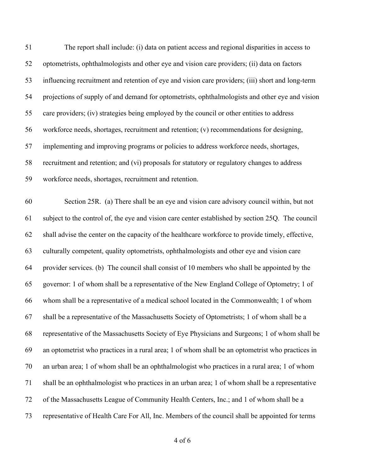| 51 | The report shall include: (i) data on patient access and regional disparities in access to        |
|----|---------------------------------------------------------------------------------------------------|
| 52 | optometrists, ophthalmologists and other eye and vision care providers; (ii) data on factors      |
| 53 | influencing recruitment and retention of eye and vision care providers; (iii) short and long-term |
| 54 | projections of supply of and demand for optometrists, ophthalmologists and other eye and vision   |
| 55 | care providers; (iv) strategies being employed by the council or other entities to address        |
| 56 | workforce needs, shortages, recruitment and retention; (v) recommendations for designing,         |
| 57 | implementing and improving programs or policies to address workforce needs, shortages,            |
| 58 | recruitment and retention; and (vi) proposals for statutory or regulatory changes to address      |
| 59 | workforce needs, shortages, recruitment and retention.                                            |
| 60 | Section 25R. (a) There shall be an eye and vision care advisory council within, but not           |
| 61 | subject to the control of, the eye and vision care center established by section 25Q. The council |
| 62 | shall advise the center on the capacity of the healthcare workforce to provide timely, effective, |
| 63 | culturally competent, quality optometrists, ophthalmologists and other eye and vision care        |
| 64 | provider services. (b) The council shall consist of 10 members who shall be appointed by the      |
| 65 | governor: 1 of whom shall be a representative of the New England College of Optometry; 1 of       |
| 66 | whom shall be a representative of a medical school located in the Commonwealth; 1 of whom         |
| 67 | shall be a representative of the Massachusetts Society of Optometrists; 1 of whom shall be a      |
| 68 | representative of the Massachusetts Society of Eye Physicians and Surgeons; 1 of whom shall be    |
| 69 | an optometrist who practices in a rural area; 1 of whom shall be an optometrist who practices in  |
| 70 | an urban area; 1 of whom shall be an ophthalmologist who practices in a rural area; 1 of whom     |
| 71 | shall be an ophthalmologist who practices in an urban area; 1 of whom shall be a representative   |
| 72 | of the Massachusetts League of Community Health Centers, Inc.; and 1 of whom shall be a           |
| 73 | representative of Health Care For All, Inc. Members of the council shall be appointed for terms   |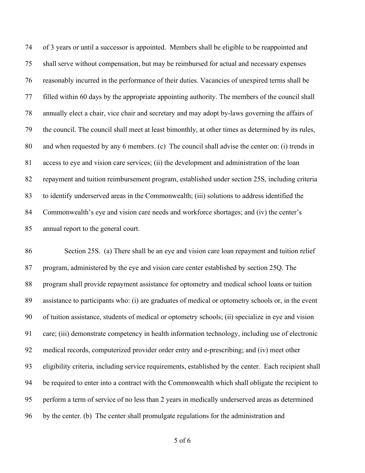of 3 years or until a successor is appointed. Members shall be eligible to be reappointed and shall serve without compensation, but may be reimbursed for actual and necessary expenses reasonably incurred in the performance of their duties. Vacancies of unexpired terms shall be filled within 60 days by the appropriate appointing authority. The members of the council shall annually elect a chair, vice chair and secretary and may adopt by-laws governing the affairs of the council. The council shall meet at least bimonthly, at other times as determined by its rules, and when requested by any 6 members. (c) The council shall advise the center on: (i) trends in access to eye and vision care services; (ii) the development and administration of the loan repayment and tuition reimbursement program, established under section 25S, including criteria to identify underserved areas in the Commonwealth; (iii) solutions to address identified the Commonwealth's eye and vision care needs and workforce shortages; and (iv) the center's annual report to the general court.

 Section 25S. (a) There shall be an eye and vision care loan repayment and tuition relief program, administered by the eye and vision care center established by section 25Q. The program shall provide repayment assistance for optometry and medical school loans or tuition assistance to participants who: (i) are graduates of medical or optometry schools or, in the event of tuition assistance, students of medical or optometry schools; (ii) specialize in eye and vision care; (iii) demonstrate competency in health information technology, including use of electronic medical records, computerized provider order entry and e-prescribing; and (iv) meet other eligibility criteria, including service requirements, established by the center. Each recipient shall be required to enter into a contract with the Commonwealth which shall obligate the recipient to perform a term of service of no less than 2 years in medically underserved areas as determined by the center. (b) The center shall promulgate regulations for the administration and

of 6